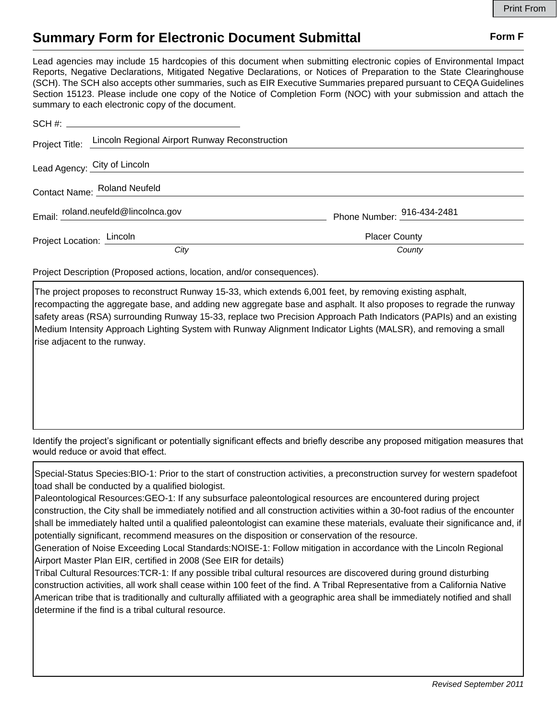## **Summary Form for Electronic Document Submittal Form F Form F**

Lead agencies may include 15 hardcopies of this document when submitting electronic copies of Environmental Impact Reports, Negative Declarations, Mitigated Negative Declarations, or Notices of Preparation to the State Clearinghouse (SCH). The SCH also accepts other summaries, such as EIR Executive Summaries prepared pursuant to CEQA Guidelines Section 15123. Please include one copy of the Notice of Completion Form (NOC) with your submission and attach the summary to each electronic copy of the document.

|                              | Project Title: Lincoln Regional Airport Runway Reconstruction |                                     |
|------------------------------|---------------------------------------------------------------|-------------------------------------|
|                              | Lead Agency: City of Lincoln                                  |                                     |
| Contact Name: Roland Neufeld |                                                               |                                     |
|                              | Email: roland.neufeld@lincolnca.gov                           | Phone Number: $^{916-434-2481}_{ }$ |
| Project Location: Lincoln    |                                                               | <b>Placer County</b>                |
|                              | City                                                          | County                              |

Project Description (Proposed actions, location, and/or consequences).

The project proposes to reconstruct Runway 15-33, which extends 6,001 feet, by removing existing asphalt, recompacting the aggregate base, and adding new aggregate base and asphalt. It also proposes to regrade the runway safety areas (RSA) surrounding Runway 15-33, replace two Precision Approach Path Indicators (PAPIs) and an existing Medium Intensity Approach Lighting System with Runway Alignment Indicator Lights (MALSR), and removing a small rise adjacent to the runway.

Identify the project's significant or potentially significant effects and briefly describe any proposed mitigation measures that would reduce or avoid that effect.

Special-Status Species:BIO-1: Prior to the start of construction activities, a preconstruction survey for western spadefoot toad shall be conducted by a qualified biologist.

Paleontological Resources:GEO-1: If any subsurface paleontological resources are encountered during project construction, the City shall be immediately notified and all construction activities within a 30-foot radius of the encounter shall be immediately halted until a qualified paleontologist can examine these materials, evaluate their significance and, if potentially significant, recommend measures on the disposition or conservation of the resource.

Generation of Noise Exceeding Local Standards:NOISE-1: Follow mitigation in accordance with the Lincoln Regional Airport Master Plan EIR, certified in 2008 (See EIR for details)

Tribal Cultural Resources:TCR-1: If any possible tribal cultural resources are discovered during ground disturbing construction activities, all work shall cease within 100 feet of the find. A Tribal Representative from a California Native American tribe that is traditionally and culturally affiliated with a geographic area shall be immediately notified and shall determine if the find is a tribal cultural resource.